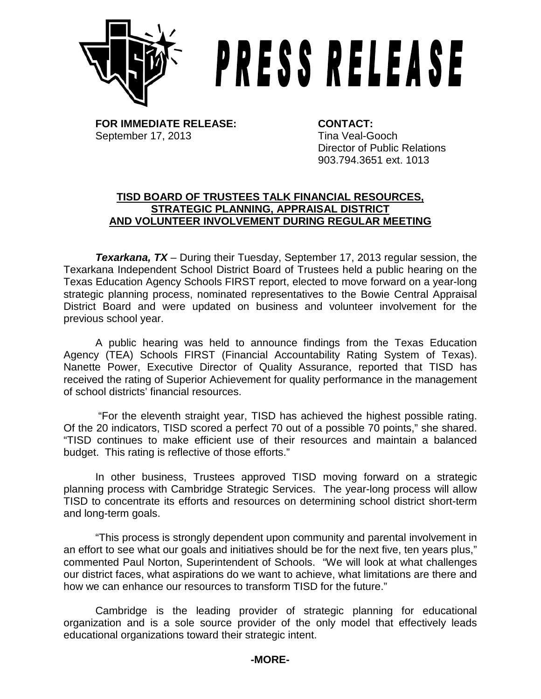

## **PRESS RELEASE**

**FOR IMMEDIATE RELEASE: CONTACT:** September 17, 2013 Tina Veal-Gooch

Director of Public Relations 903.794.3651 ext. 1013

## **TISD BOARD OF TRUSTEES TALK FINANCIAL RESOURCES, STRATEGIC PLANNING, APPRAISAL DISTRICT AND VOLUNTEER INVOLVEMENT DURING REGULAR MEETING**

*Texarkana, TX* – During their Tuesday, September 17, 2013 regular session, the Texarkana Independent School District Board of Trustees held a public hearing on the Texas Education Agency Schools FIRST report, elected to move forward on a year-long strategic planning process, nominated representatives to the Bowie Central Appraisal District Board and were updated on business and volunteer involvement for the previous school year.

A public hearing was held to announce findings from the Texas Education Agency (TEA) Schools FIRST (Financial Accountability Rating System of Texas). Nanette Power, Executive Director of Quality Assurance, reported that TISD has received the rating of Superior Achievement for quality performance in the management of school districts' financial resources.

"For the eleventh straight year, TISD has achieved the highest possible rating. Of the 20 indicators, TISD scored a perfect 70 out of a possible 70 points," she shared. "TISD continues to make efficient use of their resources and maintain a balanced budget. This rating is reflective of those efforts."

In other business, Trustees approved TISD moving forward on a strategic planning process with Cambridge Strategic Services. The year-long process will allow TISD to concentrate its efforts and resources on determining school district short-term and long-term goals.

"This process is strongly dependent upon community and parental involvement in an effort to see what our goals and initiatives should be for the next five, ten years plus," commented Paul Norton, Superintendent of Schools. "We will look at what challenges our district faces, what aspirations do we want to achieve, what limitations are there and how we can enhance our resources to transform TISD for the future."

Cambridge is the leading provider of strategic planning for educational organization and is a sole source provider of the only model that effectively leads educational organizations toward their strategic intent.